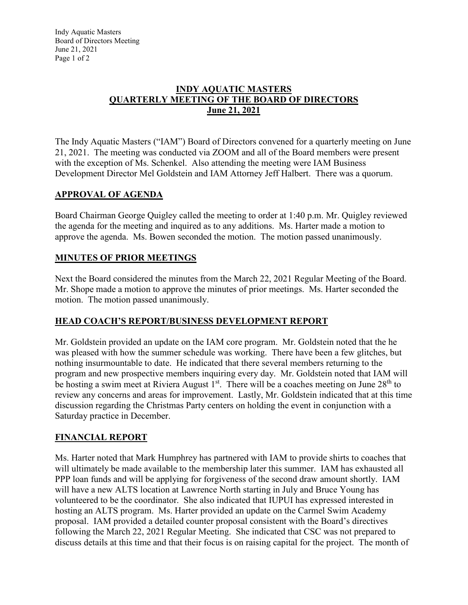Indy Aquatic Masters Board of Directors Meeting June 21, 2021 Page 1 of 2

#### **INDY AQUATIC MASTERS QUARTERLY MEETING OF THE BOARD OF DIRECTORS June 21, 2021**

The Indy Aquatic Masters ("IAM") Board of Directors convened for a quarterly meeting on June 21, 2021. The meeting was conducted via ZOOM and all of the Board members were present with the exception of Ms. Schenkel. Also attending the meeting were IAM Business Development Director Mel Goldstein and IAM Attorney Jeff Halbert. There was a quorum.

## **APPROVAL OF AGENDA**

Board Chairman George Quigley called the meeting to order at 1:40 p.m. Mr. Quigley reviewed the agenda for the meeting and inquired as to any additions. Ms. Harter made a motion to approve the agenda. Ms. Bowen seconded the motion. The motion passed unanimously.

## **MINUTES OF PRIOR MEETINGS**

Next the Board considered the minutes from the March 22, 2021 Regular Meeting of the Board. Mr. Shope made a motion to approve the minutes of prior meetings. Ms. Harter seconded the motion. The motion passed unanimously.

## **HEAD COACH'S REPORT/BUSINESS DEVELOPMENT REPORT**

Mr. Goldstein provided an update on the IAM core program. Mr. Goldstein noted that the he was pleased with how the summer schedule was working. There have been a few glitches, but nothing insurmountable to date. He indicated that there several members returning to the program and new prospective members inquiring every day. Mr. Goldstein noted that IAM will be hosting a swim meet at Riviera August  $1<sup>st</sup>$ . There will be a coaches meeting on June  $28<sup>th</sup>$  to review any concerns and areas for improvement. Lastly, Mr. Goldstein indicated that at this time discussion regarding the Christmas Party centers on holding the event in conjunction with a Saturday practice in December.

## **FINANCIAL REPORT**

Ms. Harter noted that Mark Humphrey has partnered with IAM to provide shirts to coaches that will ultimately be made available to the membership later this summer. IAM has exhausted all PPP loan funds and will be applying for forgiveness of the second draw amount shortly. IAM will have a new ALTS location at Lawrence North starting in July and Bruce Young has volunteered to be the coordinator. She also indicated that IUPUI has expressed interested in hosting an ALTS program. Ms. Harter provided an update on the Carmel Swim Academy proposal. IAM provided a detailed counter proposal consistent with the Board's directives following the March 22, 2021 Regular Meeting. She indicated that CSC was not prepared to discuss details at this time and that their focus is on raising capital for the project. The month of